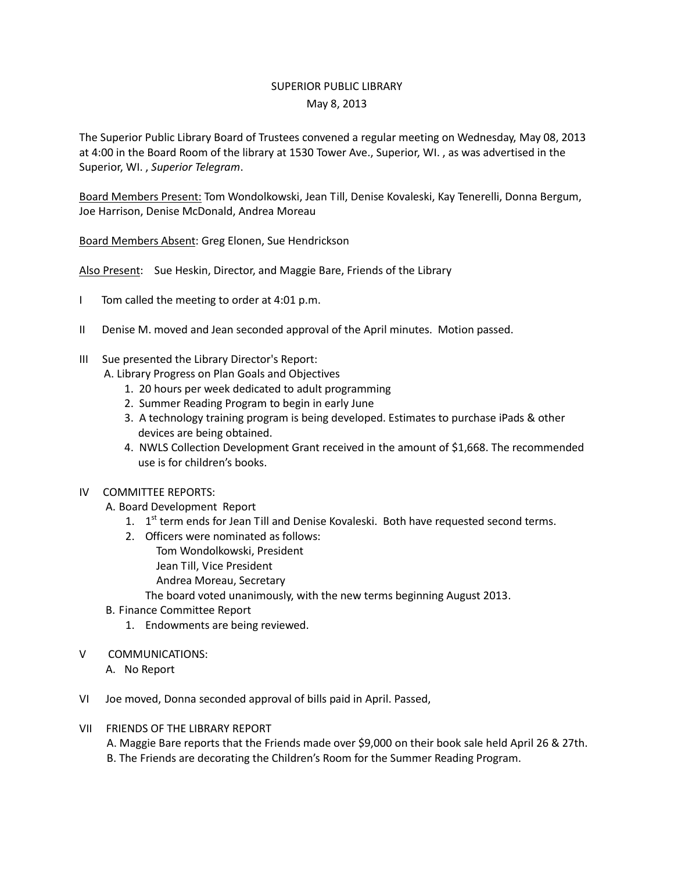## SUPERIOR PUBLIC LIBRARY May 8, 2013

The Superior Public Library Board of Trustees convened a regular meeting on Wednesday, May 08, 2013 at 4:00 in the Board Room of the library at 1530 Tower Ave., Superior, WI. , as was advertised in the Superior, WI. , *Superior Telegram*.

Board Members Present: Tom Wondolkowski, Jean Till, Denise Kovaleski, Kay Tenerelli, Donna Bergum, Joe Harrison, Denise McDonald, Andrea Moreau

Board Members Absent: Greg Elonen, Sue Hendrickson

Also Present: Sue Heskin, Director, and Maggie Bare, Friends of the Library

- I Tom called the meeting to order at 4:01 p.m.
- II Denise M. moved and Jean seconded approval of the April minutes. Motion passed.
- III Sue presented the Library Director's Report:
	- A. Library Progress on Plan Goals and Objectives
		- 1. 20 hours per week dedicated to adult programming
		- 2. Summer Reading Program to begin in early June
		- 3. A technology training program is being developed. Estimates to purchase iPads & other devices are being obtained.
		- 4. NWLS Collection Development Grant received in the amount of \$1,668. The recommended use is for children's books.
- IV COMMITTEE REPORTS:
	- A. Board Development Report
		- 1. 1<sup>st</sup> term ends for Jean Till and Denise Kovaleski. Both have requested second terms.
		- 2. Officers were nominated as follows:
			- Tom Wondolkowski, President
				- Jean Till, Vice President
				- Andrea Moreau, Secretary
			- The board voted unanimously, with the new terms beginning August 2013.
	- B. Finance Committee Report
		- 1. Endowments are being reviewed.
- V COMMUNICATIONS:
	- A. No Report
- VI Joe moved, Donna seconded approval of bills paid in April. Passed,
- VII FRIENDS OF THE LIBRARY REPORT

 A. Maggie Bare reports that the Friends made over \$9,000 on their book sale held April 26 & 27th. B. The Friends are decorating the Children's Room for the Summer Reading Program.